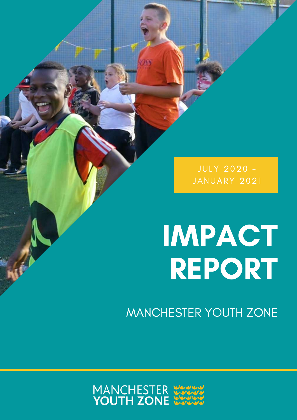JULY 2020 - JANUARY 2021

# IMPACT REPORT

MANCHESTER YOUTH ZONE

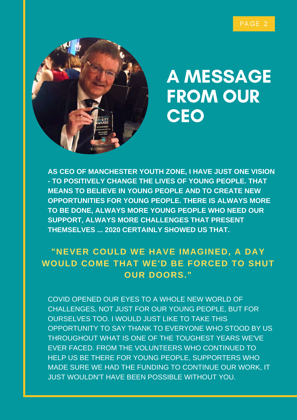

### A MESSAGE FROM OUR **CEO**

**AS CEO OF MANCHESTER YOUTH ZONE, I HAVE JUST ONE VISION - TO POSITIVELY CHANGE THE LIVES OF YOUNG PEOPLE. THAT MEANS TO BELIEVE IN YOUNG PEOPLE AND TO CREATE NEW OPPORTUNITIES FOR YOUNG PEOPLE. THERE IS ALWAYS MORE TO BE DONE, ALWAYS MORE YOUNG PEOPLE WHO NEED OUR SUPPORT, ALWAYS MORE CHALLENGES THAT PRESENT THEMSELVES ... 2020 CERTAINLY SHOWED US THAT.**

### **"NEVER COULD WE HAVE IMAGINED, A DAY WOULD COME THAT WE'D BE FORCED TO SHUT OUR DOORS."**

COVID OPENED OUR EYES TO A WHOLE NEW WORLD OF CHALLENGES, NOT JUST FOR OUR YOUNG PEOPLE, BUT FOR OURSELVES TOO. I WOULD JUST LIKE TO TAKE THIS OPPORTUNITY TO SAY THANK TO EVERYONE WHO STOOD BY US THROUGHOUT WHAT IS ONE OF THE TOUGHEST YEARS WE'VE EVER FACED. FROM THE VOLUNTEERS WHO CONTINUED TO HELP US BE THERE FOR YOUNG PEOPLE, SUPPORTERS WHO MADE SURE WE HAD THE FUNDING TO CONTINUE OUR WORK, IT JUST WOULDN'T HAVE BEEN POSSIBLE WITHOUT YOU.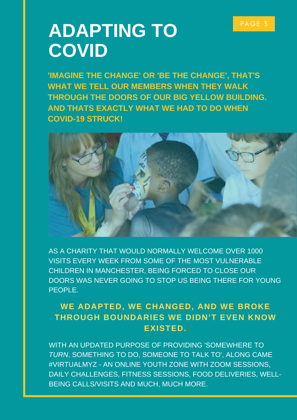### ADAPTING TO PAGE 3 **COVID**

**'IMAGINE THE CHANGE' OR 'BE THE CHANGE', THAT'S WHAT WE TELL OUR MEMBERS WHEN THEY WALK THROUGH THE DOORS OF OUR BIG YELLOW BUILDING. AND THATS EXACTLY WHAT WE HAD TO DO WHEN COVID-19 STRUCK!**



AS A CHARITY THAT WOULD NORMALLY WELCOME OVER 1000 VISITS EVERY WEEK FROM SOME OF THE MOST VULNERABLE CHILDREN IN MANCHESTER, BEING FORCED TO CLOSE OUR DOORS WAS NEVER GOING TO STOP US BEING THERE FOR YOUNG PEOPLE.

### **WE ADAPTED, WE CHANGED, AND WE BROKE THROUGH BOUNDARIES WE DIDN'T EVEN KNOW EXISTED.**

WITH AN UPDATED PURPOSE OF PROVIDING 'SOMEWHERE TO *TURN*, SOMETHING TO DO, SOMEONE TO TALK TO', ALONG CAME #VIRTUALMYZ - AN ONLINE YOUTH ZONE WITH ZOOM SESSIONS, DAILY CHALLENGES, FITNESS SESSIONS, FOOD DELIVERIES, WELL-BEING CALLS/VISITS AND MUCH, MUCH MORE.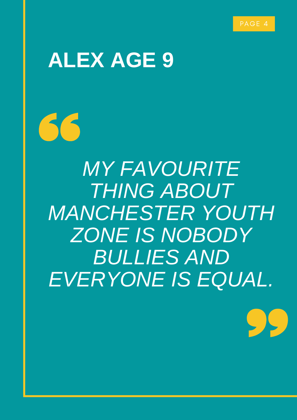$55.$ 

# **ALEX AGE 9**

66

*MY FAVOURITE THING ABOUT MANCHESTER YOUTH ZONE IS NOBODY BULLIES AND EVERYONE IS EQUAL.*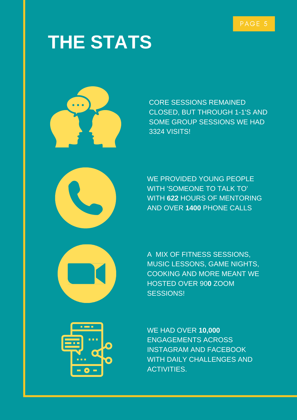# **THE STATS**



CORE SESSIONS REMAINED CLOSED, BUT THROUGH 1-1'S AND SOME GROUP SESSIONS WE HAD 3324 VISITS!

WE PROVIDED YOUNG PEOPLE WITH 'SOMEONE TO TALK TO' WITH **622** HOURS OF MENTORING AND OVER **1400** PHONE CALLS

A MIX OF FITNESS SESSIONS, MUSIC LESSONS, GAME NIGHTS, COOKING AND MORE MEANT WE HOSTED OVER 90**0** ZOOM SESSIONS!



WE HAD OVER **10,000** ENGAGEMENTS ACROSS INSTAGRAM AND FACEBOOK WITH DAILY CHALLENGES AND ACTIVITIES.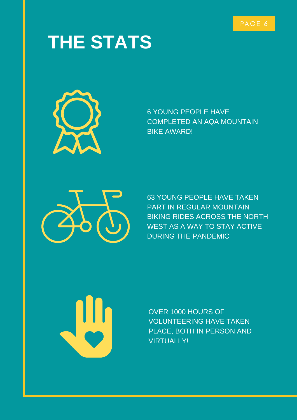# **THE STATS**



6 YOUNG PEOPLE HAVE COMPLETED AN AQA MOUNTAIN BIKE AWARD!



63 YOUNG PEOPLE HAVE TAKEN PART IN REGULAR MOUNTAIN BIKING RIDES ACROSS THE NORTH WEST AS A WAY TO STAY ACTIVE DURING THE PANDEMIC

OVER 1000 HOURS OF VOLUNTEERING HAVE TAKEN PLACE, BOTH IN PERSON AND VIRTUALLY!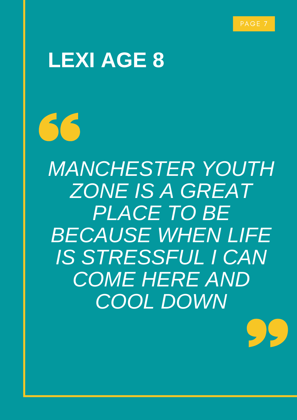

 $\sum$ 

# **LEXI AGE 8**

66

*MANCHESTER YOUTH ZONE IS A GREAT PLACE TO BE BECAUSE WHEN LIFE IS STRESSFUL I CAN COME HERE AND COOL DOWN*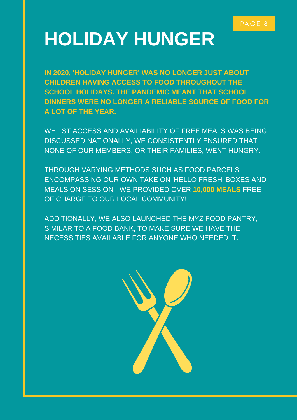# **HOLIDAY HUNGER**

**IN 2020, 'HOLIDAY HUNGER' WAS NO LONGER JUST ABOUT CHILDREN HAVING ACCESS TO FOOD THROUGHOUT THE SCHOOL HOLIDAYS. THE PANDEMIC MEANT THAT SCHOOL DINNERS WERE NO LONGER A RELIABLE SOURCE OF FOOD FOR A LOT OF THE YEAR.**

WHILST ACCESS AND AVAILIABILITY OF FREE MEALS WAS BEING DISCUSSED NATIONALLY, WE CONSISTENTLY ENSURED THAT NONE OF OUR MEMBERS, OR THEIR FAMILIES, WENT HUNGRY.

THROUGH VARYING METHODS SUCH AS FOOD PARCELS ENCOMPASSING OUR OWN TAKE ON 'HELLO FRESH' BOXES AND MEALS ON SESSION - WE PROVIDED OVER **10,000 MEALS** FREE OF CHARGE TO OUR LOCAL COMMUNITY!

ADDITIONALLY, WE ALSO LAUNCHED THE MYZ FOOD PANTRY, SIMILAR TO A FOOD BANK, TO MAKE SURE WE HAVE THE NECESSITIES AVAILABLE FOR ANYONE WHO NEEDED IT.

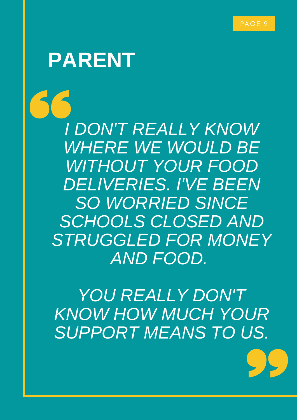PAGE 9

### **PARENT**

*I DON'T REALLY KNOW WHERE WE WOULD BE WITHOUT YOUR FOOD DELIVERIES. I'VE BEEN SO WORRIED SINCE SCHOOLS CLOSED AND STRUGGLED FOR MONEY AND FOOD.*

*YOU REALLY DON'T KNOW HOW MUCH YOUR SUPPORT MEANS TO US.*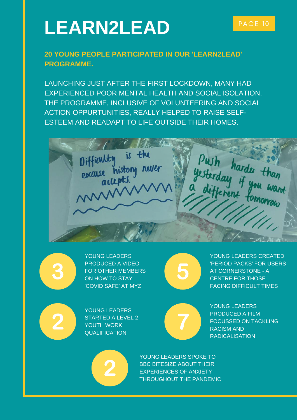# LEARN2LEAD PAGE 10

### **20 YOUNG PEOPLE PARTICIPATED IN OUR 'LEARN2LEAD' PROGRAMME.**

LAUNCHING JUST AFTER THE FIRST LOCKDOWN, MANY HAD EXPERIENCED POOR MENTAL HEALTH AND SOCIAL ISOLATION. THE PROGRAMME, INCLUSIVE OF VOLUNTEERING AND SOCIAL ACTION OPPURTUNITIES, REALLY HELPED TO RAISE SELF-ESTEEM AND READAPT TO LIFE OUTSIDE THEIR HOMES.





YOUNG LEADERS PRODUCED A VIDEO FOR OTHER MEMBERS ON HOW TO STAY 'COVID SAFE' AT MYZ



YOUNG LEADERS CREATED 'PERIOD PACKS' FOR USERS AT CORNERSTONE - A CENTRE FOR THOSE FACING DIFFICULT TIMES



YOUNG LEADERS STARTED A LEVEL 2 YOUTH WORK **QUALIFICATION** 



YOUNG LEADERS PRODUCED A FILM FOCUSSED ON TACKLING RACISM AND RADICALISATION



YOUNG LEADERS SPOKE TO BBC BITESIZE ABOUT THEIR EXPERIENCES OF ANXIETY THROUGHOUT THE PANDEMIC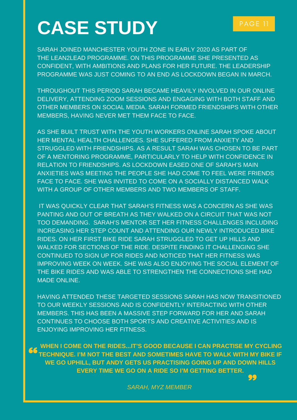# CASE STUDY **PAGE 11**

SARAH JOINED MANCHESTER YOUTH ZONE IN EARLY 2020 AS PART OF THE LEAN2LEAD PROGRAMME. ON THIS PROGRAMME SHE PRESENTED AS CONFIDENT, WITH AMBITIONS AND PLANS FOR HER FUTURE. THE LEADERSHIP PROGRAMME WAS JUST COMING TO AN END AS LOCKDOWN BEGAN IN MARCH.

THROUGHOUT THIS PERIOD SARAH BECAME HEAVILY INVOLVED IN OUR ONLINE DELIVERY, ATTENDING ZOOM SESSIONS AND ENGAGING WITH BOTH STAFF AND OTHER MEMBERS ON SOCIAL MEDIA. SARAH FORMED FRIENDSHIPS WITH OTHER MEMBERS, HAVING NEVER MET THEM FACE TO FACE.

AS SHE BUILT TRUST WITH THE YOUTH WORKERS ONLINE SARAH SPOKE ABOUT HER MENTAL HEALTH CHALLENGES. SHE SUFFERED FROM ANXIETY AND STRUGGLED WITH FRIENDSHIPS. AS A RESULT SARAH WAS CHOSEN TO BE PART OF A MENTORING PROGRAMME, PARTICULARLY TO HELP WITH CONFIDENCE IN RELATION TO FRIENDSHIPS. AS LOCKDOWN EASED ONE OF SARAH'S MAIN ANXIETIES WAS MEETING THE PEOPLE SHE HAD COME TO FEEL WERE FRIENDS FACE TO FACE. SHE WAS INVITED TO COME ON A SOCIALLY DISTANCED WALK WITH A GROUP OF OTHER MEMBERS AND TWO MEMBERS OF STAFF.

IT WAS QUICKLY CLEAR THAT SARAH'S FITNESS WAS A CONCERN AS SHE WAS PANTING AND OUT OF BREATH AS THEY WALKED ON A CIRCUIT THAT WAS NOT TOO DEMANDING. SARAH'S MENTOR SET HER FITNESS CHALLENGES INCLUDING INCREASING HER STEP COUNT AND ATTENDING OUR NEWLY INTRODUCED BIKE RIDES. ON HER FIRST BIKE RIDE SARAH STRUGGLED TO GET UP HILLS AND WALKED FOR SECTIONS OF THE RIDE. DESPITE FINDING IT CHALLENGING SHE CONTINUED TO SIGN UP FOR RIDES AND NOTICED THAT HER FITNESS WAS IMPROVING WEEK ON WEEK. SHE WAS ALSO ENJOYING THE SOCIAL ELEMENT OF THE BIKE RIDES AND WAS ABLE TO STRENGTHEN THE CONNECTIONS SHE HAD MADE ONLINE.

HAVING ATTENDED THESE TARGETED SESSIONS SARAH HAS NOW TRANSITIONED TO OUR WEEKLY SESSIONS AND IS CONFIDENTLY INTERACTING WITH OTHER MEMBERS. THIS HAS BEEN A MASSIVE STEP FORWARD FOR HER AND SARAH CONTINUES TO CHOOSE BOTH SPORTS AND CREATIVE ACTIVITIES AND IS ENJOYING IMPROVING HER FITNESS.

**WHEN I COME ON THE RIDES…IT'S GOOD BECAUSE I CAN PRACTISE MY CYCLING TECHNIQUE. I'M NOT THE BEST AND SOMETIMES HAVE TO WALK WITH MY BIKE IF WE GO UPHILL, BUT ANDY GETS US PRACTISING GOING UP AND DOWN HILLS EVERY TIME WE GO ON A RIDE SO I'M GETTING BETTER.**

*SARAH, MYZ MEMBER*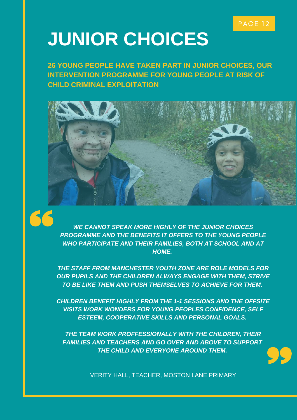# **JUNIOR CHOICES**

**26 YOUNG PEOPLE HAVE TAKEN PART IN JUNIOR CHOICES, OUR INTERVENTION PROGRAMME FOR YOUNG PEOPLE AT RISK OF CHILD CRIMINAL EXPLOITATION**





*WE CANNOT SPEAK MORE HIGHLY OF THE JUNIOR CHOICES PROGRAMME AND THE BENEFITS IT OFFERS TO THE YOUNG PEOPLE WHO PARTICIPATE AND THEIR FAMILIES, BOTH AT SCHOOL AND AT HOME.*

*THE STAFF FROM MANCHESTER YOUTH ZONE ARE ROLE MODELS FOR OUR PUPILS AND THE CHILDREN ALWAYS ENGAGE WITH THEM, STRIVE TO BE LIKE THEM AND PUSH THEMSELVES TO ACHIEVE FOR THEM.*

*CHILDREN BENEFIT HIGHLY FROM THE 1-1 SESSIONS AND THE OFFSITE VISITS WORK WONDERS FOR YOUNG PEOPLES CONFIDENCE, SELF ESTEEM, COOPERATIVE SKILLS AND PERSONAL GOALS.*

*THE TEAM WORK PROFFESSIONALLY WITH THE CHILDREN, THEIR FAMILIES AND TEACHERS AND GO OVER AND ABOVE TO SUPPORT THE CHILD AND EVERYONE AROUND THEM.*



VERITY HALL, TEACHER, MOSTON LANE PRIMARY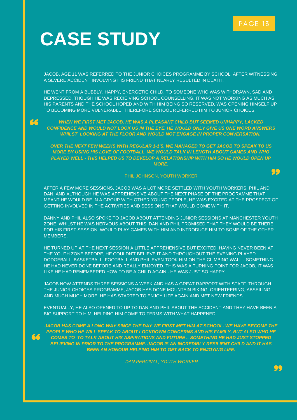### **CASE STUDY**

JACOB, AGE 11 WAS REFERRED TO THE JUNIOR CHOICES PROGRAMME BY SCHOOL, AFTER WITNESSING A SEVERE ACCIDENT INVOLVING HIS FRIEND THAT NEARLY RESULTED IN DEATH.

HE WENT FROM A BUBBLY, HAPPY, ENERGETIC CHILD, TO SOMEONE WHO WAS WITHDRAWN, SAD AND DEPRESSED. THOUGH HE WAS RECIEIVING SCHOOL COUNSELLING, IT WAS NOT WORKING AS MUCH AS HIS PARENTS AND THE SCHOOL HOPED AND WITH HIM BEING SO RESERVED, WAS OPENING HIMSELF UP TO BECOMING MORE VULNERABLE. THEREFORE SCHOOL REFERRED HIM TO JUNIOR CHOICES.

#### *WHEN WE FIRST MET JACOB, HE WAS A PLEASANT CHILD BUT SEEMED UNHAPPY, LACKED CONFIDENCE AND WOULD NOT LOOK US IN THE EYE. HE WOULD ONLY GIVE US ONE WORD ANSWERS WHILST LOOKING AT THE FLOOR AND WOULD NOT ENGAGE IN PROPER CONVERSATION.*

*OVER THE NEXT FEW WEEKS WITH REGULAR 1-1'S, WE MANAGED TO GET JACOB TO SPEAK TO US MORE BY USING HIS LOVE OF FOOTBALL. WE WOULD TALK IN LENGTH ABOUT GAMES AND WHO PLAYED WELL - THIS HELPED US TO DEVELOP A RELATIONSHIP WITH HIM SO HE WOULD OPEN UP MORE.*

#### PHIL JOHNSON, YOUTH WORKER

AFTER A FEW MORE SESSIONS, JACOB WAS A LOT MORE SETTLED WITH YOUTH WORKERS, PHIL AND DAN, AND ALTHOUGH HE WAS APPREHENSIVE ABOUT THE NEXT PHASE OF THE PROGRAMME THAT MEANT HE WOULD BE IN A GROUP WITH OTHER YOUNG PEOPLE, HE WAS EXCITED AT THE PROSPECT OF

DANNY AND PHIL ALSO SPOKE TO JACOB ABOUT ATTENDING JUNIOR SESSIONS AT MANCHESTER YOUTH ZONE. WHILST HE WAS NERVOUS ABOUT THIS, DAN AND PHIL PROMISED THAT THEY WOULD BE THERE FOR HIS FIRST SESSION, WOULD PLAY GAMES WITH HIM AND INTRODUCE HIM TO SOME OF THE OTHER MEMBERS.

GETTING INVOLVED IN THE ACTIVITIES AND SESSIONS THAT WOULD COME WITH IT.

HE TURNED UP AT THE NEXT SESSION A LITTLE APPREHENSIVE BUT EXCITED. HAVING NEVER BEEN AT THE YOUTH ZONE BEFORE, HE COULDN'T BELIEVE IT AND THROUGHOUT THE EVENING PLAYED DODGEBALL, BASKETBALL, FOOTBALL AND PHIL EVEN TOOK HIM ON THE CLIMBING WALL - SOMETHING HE HAD NEVER DONE BEFORE AND REALLY ENJOYED. THIS WAS A TURNING POINT FOR JACOB, IT WAS LIKE HE HAD REMEMBERED HOW TO BE A CHILD AGAIN - HE WAS JUST SO HAPPY.

JACOB NOW ATTENDS THREE SESSIONS A WEEK AND HAS A GREAT RAPPORT WITH STAFF. THROUGH THE JUNIOR CHOICES PROGRAMME, JACOB HAS DONE MOUNTAIN BIKING, ORIENTEERING, ABSEILING AND MUCH MUCH MORE. HE HAS STARTED TO ENJOY LIFE AGAIN AND MET NEW FRIENDS.

EVENTUALLY, HE ALSO OPENED TO UP TO DAN AND PHIL ABOUT THE ACCIDENT AND THEY HAVE BEEN A BIG SUPPORT TO HIM, HELPING HIM COME TO TERMS WITH WHAT HAPPENED.

66

66

*JACOB HAS COME A LONG WAY SINCE THE DAY WE FIRST MET HIM AT SCHOOL. WE HAVE BECOME THE PEOPLE WHO HE WILL SPEAK TO ABOUT LOCKDOWN CONCERNS AND HIS FAMILY, BUT ALSO WHO HE COMES TO TO TALK ABOUT HIS ASPIRATIONS AND FUTURE .. SOMETHING HE HAD JUST STOPPED BELIEVING IN PRIOR TO THE PROGRAMME. JACOB IS AN INCREDIBLY RESILIENT CHILD AND IT HAS BEEN AN HONOUR HELPING HIM TO GET BACK TO ENJOYING LIFE.*

*DAN PERCIVAL, YOUTH WORKER*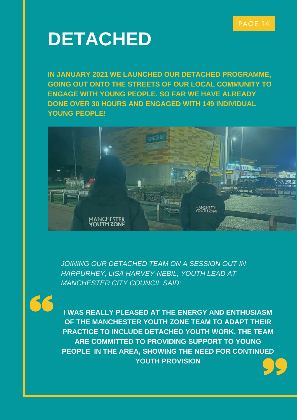### **DETACHED**

**IN JANUARY 2021 WE LAUNCHED OUR DETACHED PROGRAMME, GOING OUT ONTO THE STREETS OF OUR LOCAL COMMUNITY TO ENGAGE WITH YOUNG PEOPLE. SO FAR WE HAVE ALREADY DONE OVER 30 HOURS AND ENGAGED WITH 149 INDIVIDUAL YOUNG PEOPLE!**



*JOINING OUR DETACHED TEAM ON A SESSION OUT IN HARPURHEY, LISA HARVEY-NEBIL, YOUTH LEAD AT MANCHESTER CITY COUNCIL SAID:*

**I WAS REALLY PLEASED AT THE ENERGY AND ENTHUSIASM OF THE MANCHESTER YOUTH ZONE TEAM TO ADAPT THEIR PRACTICE TO INCLUDE DETACHED YOUTH WORK. THE TEAM ARE COMMITTED TO PROVIDING SUPPORT TO YOUNG PEOPLE IN THE AREA, SHOWING THE NEED FOR CONTINUED YOUTH PROVISION**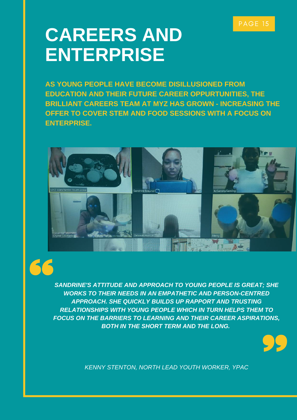### PAGE 15

### **CAREERS AND ENTERPRISE**

**AS YOUNG PEOPLE HAVE BECOME DISILLUSIONED FROM EDUCATION AND THEIR FUTURE CAREER OPPURTUNITIES, THE BRILLIANT CAREERS TEAM AT MYZ HAS GROWN - INCREASING THE OFFER TO COVER STEM AND FOOD SESSIONS WITH A FOCUS ON ENTERPRISE.**





*SANDRINE'S ATTITUDE AND APPROACH TO YOUNG PEOPLE IS GREAT; SHE WORKS TO THEIR NEEDS IN AN EMPATHETIC AND PERSON-CENTRED APPROACH. SHE QUICKLY BUILDS UP RAPPORT AND TRUSTING RELATIONSHIPS WITH YOUNG PEOPLE WHICH IN TURN HELPS THEM TO FOCUS ON THE BARRIERS TO LEARNING AND THEIR CAREER ASPIRATIONS, BOTH IN THE SHORT TERM AND THE LONG.*



*KENNY STENTON, NORTH LEAD YOUTH WORKER, YPAC*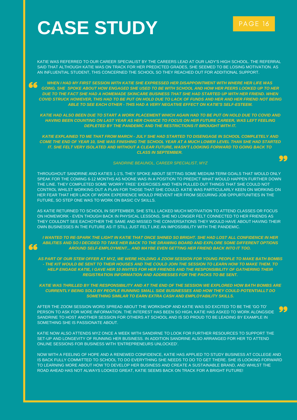# CASE STUDY **PAGE 16**

66

KATIE WAS REFERRED TO OUR CAREER SPECIALIST BY THE CAREERS LEAD AT OUR LADY'S HIGH SCHOOL. THE REFERRAL SAID THAT ALTHOUGH KATIE WAS ON TRACK FOR HER PREDICTED GRADES, SHE SEEMED TO BE LOSING MOTIVATION. AS AN INFLUENTIAL STUDENT, THIS CONCERNED THE SCHOOL SO THEY REACHED OUT FOR ADDITIONAL SUPPORT.

*WHEN I HAD MY FIRST SESSION WITH KATIE SHE EXPRESSED HER DISAPPOINTMENT WITH WHERE HER LIFE WAS* 66 *GOING. SHE SPOKE ABOUT HOW ENGAGED SHE USED TO BE WITH SCHOOL AND HOW HER PEERS LOOKED UP TO HER DUE TO THE FACT SHE HAD A HOMEMADE SKINCARE BUSINESS THAT SHE HAD STARTED UP WITH HER FRIEND. WHEN COVID STRUCK HOWEVER, THIS HAD TO BE PUT ON HOLD DUE TO LACK OF FUNDS AND HER AND HER FRIEND NOT BEING ABLE TO SEE EACH OTHER - THIS HAD A VERY NEGATIVE EFFECT ON KATIE'S SELF-ESTEEM.*

*KATIE HAD ALSO BEEN DUE TO START A WORK PLACEMENT WHICH AGAIN HAD TO BE PUT ON HOLD DUE TO COVID AND HAVING BEEN COUNTING ON LAST YEAR AS HER CHANCE TO FOCUS ON HER FUTURE CAREER, WAS LEFT FEELING DEPLETED BY THE PANDEMIC AND THE RESTRICTIONS IT BROUGHT WITH IT.*

*KATIE EXPLAINED TO ME THAT FROM MARCH - JULY SHE HAD STARTED TO DISENGAGE IN SCHOOL COMPLETELY AND COME THE END OF YEAR 10, SHE WAS FINISHING THE SCHOOL YEAR AT A MUCH LOWER LEVEL THAN SHE HAD STARTED IT. SHE FELT VERY ISOLATED AND WITHOUT A CLEAR FUTURE, WASN'T LOOKING FORWARD TO GOING BACK TO CLASS IN SEPTEMBER.*

#### *SANDRINE BEAUNOL, CAREER SPECIALIST, MYZ*

THROUGHOUT SANDRINE AND KATIES 1-1'S, THEY SPOKE ABOUT SETTING SOME MEDIUM-TERM GOALS THAT WOULD ONLY SPEAK FOR THE COMING 6-12 MONTHS AS NOONE WAS IN A POSITION TO PREDICT WHAT WOULD HAPPEN FURTHER DOWN THE LINE. THEY COMPLETED SOME 'WORRY TREE' EXERCISES AND THEN PULLED OUT THINGS THAT SHE COULD NOT CONTROL WHILST WORKING OUT A PLAN FOR THOSE THAT SHE COULD. KATIE WAS PARTICULARLY KEEN ON WORKING ON HER FEAR THAT HER LACK OF WORK EXPERIENCE WOULD PREVENT HER FROM SECURING JOB OPPURTUNITIES IN THE FUTURE, SO STEP ONE WAS TO WORK ON BASIC CV SKILLS.

AS KATIE RETURNED TO SCHOOL IN SEPTEMBER, SHE STILL LACKED MUCH MOTIVATION TO ATTEND CLASSES OR FOCUS ON HOMEWORK - EVEN THOUGH BACK IN PHYSICAL LESSONS, SHE NO LONGER FELT CONNECTED TO HER FRIENDS AS THEY COULDN'T SEE EACHOTHER THE SAME AND MISSED THE CONVERSATIONS THEY WOULD HAVE ABOUT HAVING THEIR OWN BUSINESSES IN THE FUTURE AS IT STILL JUST FELT LIKE AN IMPOSSIBILITY WITH THE PANDEMIC.

*I WANTED TO RE-SPARK THE LIGHT IN KATIE THAT ONCE SHINED SO BRIGHT. SHE HAD LOST ALL CONFIDENCE IN HER ABILITIES AND SO I DECIDED TO TAKE HER BACK TO THE DRAWING BOARD AND EXPLORE SOME DIFFERENT OPTIONS AROUND SELF-EMPLOYMENT... AND MAYBE EVEN GETTING HER FRIEND BACK INTO IT TOO.*

*AS PART OF OUR STEM OFFER AT MYZ, WE WERE HOLDING A ZOOM SESSION FOR YOUNG PEOPLE TO MAKE BATH BOMBS - THE KIT WOULD BE SENT TO THEIR HOUSES AND THE COULD JOIN THE SESSION TO LEARN HOW TO MAKE THEM. TO HELP ENGAGE KATIE, I GAVE HER 10 INVITES FOR HER FRIENDS AND THE RESPONSIBILITY OF GATHERING THEIR REGISTRATION INFORMATION AND ADDRESSES FOR THE PACKS TO BE SENT.*

*KATIE WAS THRILLED BY THE RESPONSIBILITY AND AT THE END OF THE SESSION WE EXPLORED HOW BATH BOMBS ARE CURRENTLY BEING SOLD BY PEOPLE RUNNING SMALL SIDE BUSINESSES AND HOW THEY COULD POTENTIALLT DO SOMETHING SIMILAR TO EARN EXTRA CASH AND EMPLOYABILITY SKILLS.*

AFTER THE ZOOM SESSION WORD SPREAD ABOUT THE WORKSHOP AND KATIE WAS SO EXCITED TO BE THE 'GO TO' PERSON TO ASK FOR MORE INFORMATION. THE INTEREST HAS BEEN SO HIGH, KATIE HAS ASKED TO WORK ALONGSIDE SANDRINE TO HOST ANOTHER SESSION FOR OTHERS AT SCHOOL AND IS SO PROUD TO BE LEADING BY EXAMPLE IN SOMETHING SHE IS PASSIONATE ABOUT.

KATIE NOW ALSO ATTENDS MYZ ONCE A WEEK WITH SANDIRNE TO LOOK FOR FURTHER RESOURCES TO SUPPORT THE SET-UP AND LONGEVITY OF RUNNING HER BUSINESS. IN ADDITION SANDRINE ALSO ARRANGED FOR HER TO ATTEND ONLINE SESSIONS FOR BUSINESS WITH 'ENTREPRENEURS UNLOCKED'.

NOW WITH A FEELING OF HOPE AND A RENEWED CONFIDENCE, KATIE HAS APPLIED TO STUDY BUSINESS AT COLLEGE AND IS BACK FULLY COMMITTED TO SCHOOL TO DO EVERYTHING SHE NEEDS TO DO TO GET THERE. SHE IS LOOKING FORWARD TO LEARNING MORE ABOUT HOW TO DEVELOP HER BUSINESS AND CREATE A SUSTAINABLE BRAND, AND WHILST THE ROAD AHEAD HAS NOT ALWAYS LOOKED GREAT, KATIE SEEMS BACK ON TRACK FOR A BRIGHT FUTURE!

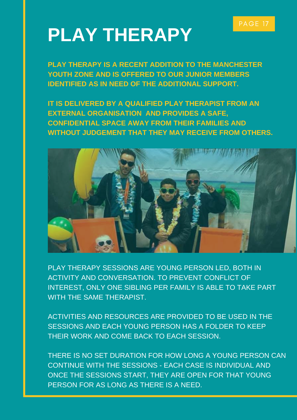### PAGE 17

### **PLAY THERAPY**

**PLAY THERAPY IS A RECENT ADDITION TO THE MANCHESTER YOUTH ZONE AND IS OFFERED TO OUR JUNIOR MEMBERS IDENTIFIED AS IN NEED OF THE ADDITIONAL SUPPORT.**

**IT IS DELIVERED BY A QUALIFIED PLAY THERAPIST FROM AN EXTERNAL ORGANISATION AND PROVIDES A SAFE, CONFIDENTIAL SPACE AWAY FROM THEIR FAMILIES AND WITHOUT JUDGEMENT THAT THEY MAY RECEIVE FROM OTHERS.**



PLAY THERAPY SESSIONS ARE YOUNG PERSON LED, BOTH IN ACTIVITY AND CONVERSATION. TO PREVENT CONFLICT OF INTEREST, ONLY ONE SIBLING PER FAMILY IS ABLE TO TAKE PART WITH THE SAME THERAPIST.

ACTIVITIES AND RESOURCES ARE PROVIDED TO BE USED IN THE SESSIONS AND EACH YOUNG PERSON HAS A FOLDER TO KEEP THEIR WORK AND COME BACK TO EACH SESSION.

THERE IS NO SET DURATION FOR HOW LONG A YOUNG PERSON CAN CONTINUE WITH THE SESSIONS - EACH CASE IS INDIVIDUAL AND ONCE THE SESSIONS START, THEY ARE OPEN FOR THAT YOUNG PERSON FOR AS LONG AS THERE IS A NEED.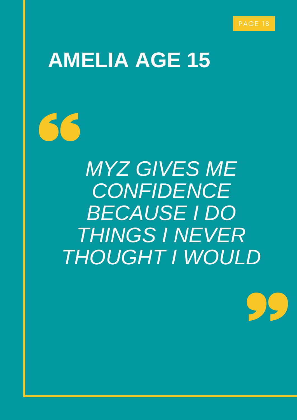# **AMELIA AGE 15**

66

*MYZ GIVES ME CONFIDENCE BECAUSE I DO THINGS I NEVER THOUGHT I WOULD*

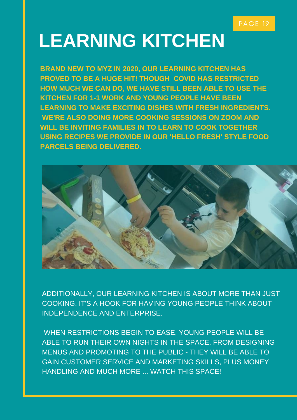# **LEARNING KITCHEN**

**BRAND NEW TO MYZ IN 2020, OUR LEARNING KITCHEN HAS PROVED TO BE A HUGE HIT! THOUGH COVID HAS RESTRICTED HOW MUCH WE CAN DO, WE HAVE STILL BEEN ABLE TO USE THE KITCHEN FOR 1-1 WORK AND YOUNG PEOPLE HAVE BEEN LEARNING TO MAKE EXCITING DISHES WITH FRESH INGREDIENTS. WE'RE ALSO DOING MORE COOKING SESSIONS ON ZOOM AND WILL BE INVITING FAMILIES IN TO LEARN TO COOK TOGETHER USING RECIPES WE PROVIDE IN OUR 'HELLO FRESH' STYLE FOOD PARCELS BEING DELIVERED.**



ADDITIONALLY, OUR LEARNING KITCHEN IS ABOUT MORE THAN JUST COOKING. IT'S A HOOK FOR HAVING YOUNG PEOPLE THINK ABOUT INDEPENDENCE AND ENTERPRISE.

WHEN RESTRICTIONS BEGIN TO EASE, YOUNG PEOPLE WILL BE ABLE TO RUN THEIR OWN NIGHTS IN THE SPACE. FROM DESIGNING MENUS AND PROMOTING TO THE PUBLIC - THEY WILL BE ABLE TO GAIN CUSTOMER SERVICE AND MARKETING SKILLS, PLUS MONEY HANDLING AND MUCH MORE ... WATCH THIS SPACE!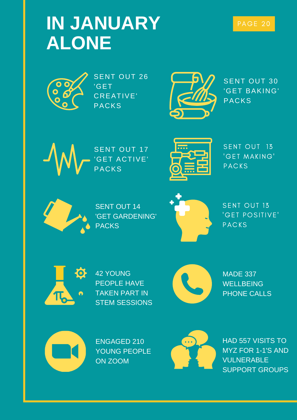### **IN JANUARY ALONE**



SENT OUT 26 'GET CREATIVE' PACKS



SENT OUT 30 'GET BAKING' PACKS



SENT OUT 17 'GET ACTIVE' **PACKS** 



SENT OUT 13 'GET MAKING' PACKS



SENT OUT 14 'GET GARDENING' PACKS



SENT OUT 13 'GET POSITIVE' PACKS



42 YOUNG PEOPLE HAVE TAKEN PART IN STEM SESSIONS



MADE 337 **WELLBEING** PHONE CALLS



ENGAGED 210 YOUNG PEOPLE ON ZOOM



HAD 557 VISITS TO MYZ FOR 1-1'S AND VULNERABLE SUPPORT GROUPS

### PAGE 20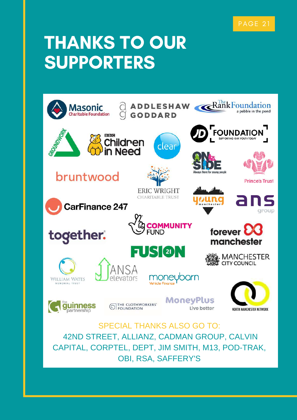### PAGE 21

### THANKS TO OUR SUPPORTERS



SPECIAL THANKS ALSO GO TO: 42ND STREET, ALLIANZ, CADMAN GROUP, CALVIN CAPITAL, CORPTEL, DEPT, JIM SMITH, M13, POD-TRAK, OBI, RSA, SAFFERY'S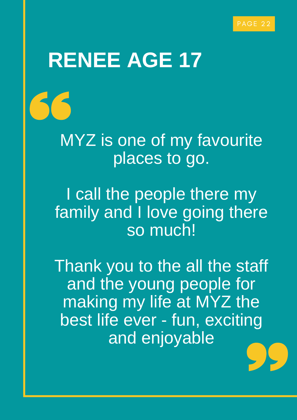# **RENEE AGE 17**

MYZ is one of my favourite places to go.

I call the people there my family and I love going there so much!

Thank you to the all the staff and the young people for making my life at MYZ the best life ever - fun, exciting and enjoyable